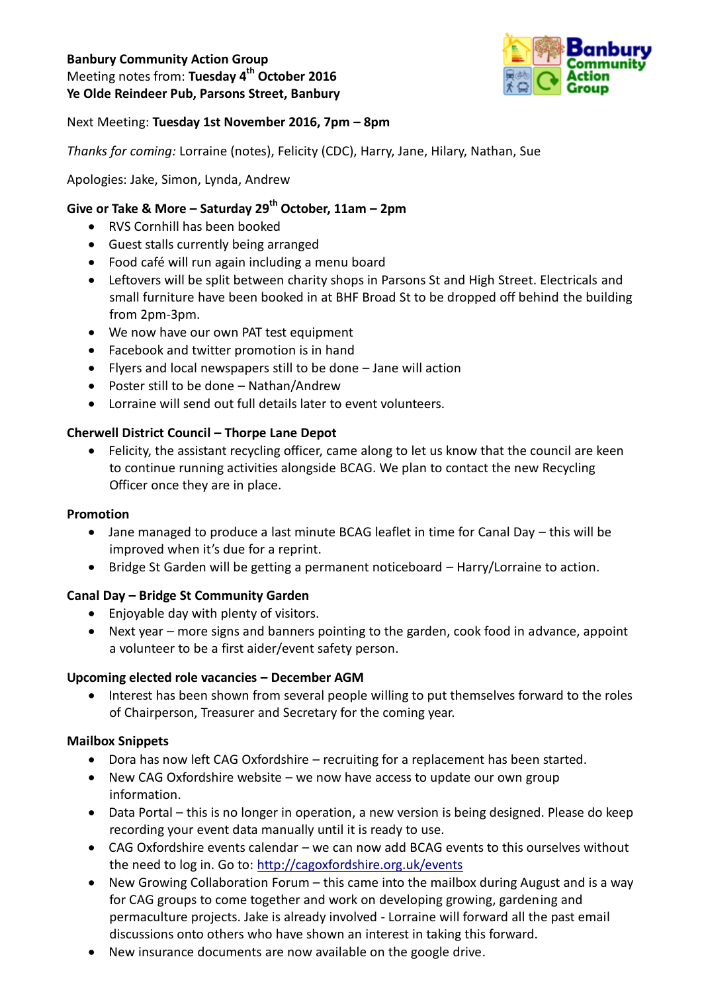### **Banbury Community Action Group**  Meeting notes from: **Tuesday 4 th October 2016 Ye Olde Reindeer Pub, Parsons Street, Banbury**



### Next Meeting: **Tuesday 1st November 2016, 7pm – 8pm**

*Thanks for coming:* Lorraine (notes), Felicity (CDC), Harry, Jane, Hilary, Nathan, Sue

### Apologies: Jake, Simon, Lynda, Andrew

# **Give or Take & More – Saturday 29 th October, 11am – 2pm**

- RVS Cornhill has been booked
- Guest stalls currently being arranged
- Food café will run again including a menu board
- Leftovers will be split between charity shops in Parsons St and High Street. Electricals and small furniture have been booked in at BHF Broad St to be dropped off behind the building from 2pm-3pm.
- We now have our own PAT test equipment
- Facebook and twitter promotion is in hand
- Flyers and local newspapers still to be done Jane will action
- Poster still to be done Nathan/Andrew
- Lorraine will send out full details later to event volunteers.

#### **Cherwell District Council – Thorpe Lane Depot**

• Felicity, the assistant recycling officer, came along to let us know that the council are keen to continue running activities alongside BCAG. We plan to contact the new Recycling Officer once they are in place.

#### **Promotion**

- Jane managed to produce a last minute BCAG leaflet in time for Canal Day this will be improved when it's due for a reprint.
- Bridge St Garden will be getting a permanent noticeboard Harry/Lorraine to action.

#### **Canal Day – Bridge St Community Garden**

- Enjoyable day with plenty of visitors.
- Next year more signs and banners pointing to the garden, cook food in advance, appoint a volunteer to be a first aider/event safety person.

#### **Upcoming elected role vacancies – December AGM**

• Interest has been shown from several people willing to put themselves forward to the roles of Chairperson, Treasurer and Secretary for the coming year.

#### **Mailbox Snippets**

- Dora has now left CAG Oxfordshire recruiting for a replacement has been started.
- New CAG Oxfordshire website we now have access to update our own group information.
- Data Portal this is no longer in operation, a new version is being designed. Please do keep recording your event data manually until it is ready to use.
- CAG Oxfordshire events calendar we can now add BCAG events to this ourselves without the need to log in. Go to:<http://cagoxfordshire.org.uk/events>
- New Growing Collaboration Forum this came into the mailbox during August and is a way for CAG groups to come together and work on developing growing, gardening and permaculture projects. Jake is already involved - Lorraine will forward all the past email discussions onto others who have shown an interest in taking this forward.
- New insurance documents are now available on the google drive.